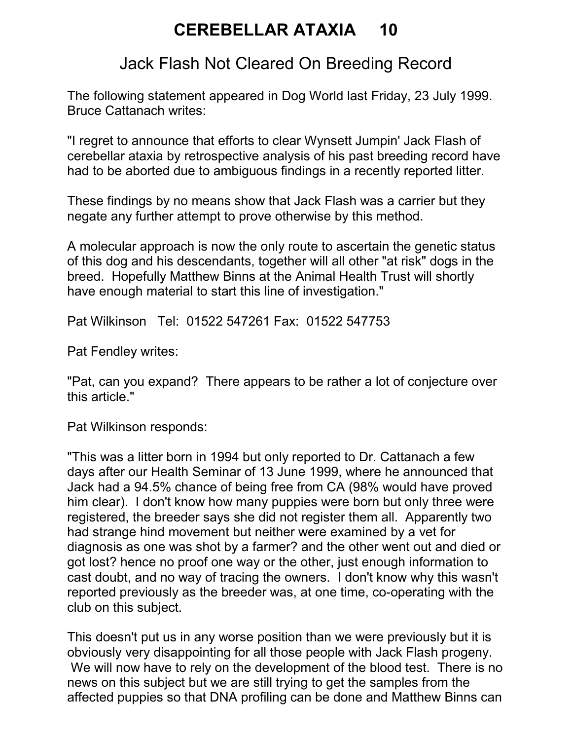## CEREBELLAR ATAXIA 10

## Jack Flash Not Cleared On Breeding Record

The following statement appeared in Dog World last Friday, 23 July 1999. Bruce Cattanach writes:

"I regret to announce that efforts to clear Wynsett Jumpin' Jack Flash of cerebellar ataxia by retrospective analysis of his past breeding record have had to be aborted due to ambiguous findings in a recently reported litter.

These findings by no means show that Jack Flash was a carrier but they negate any further attempt to prove otherwise by this method.

A molecular approach is now the only route to ascertain the genetic status of this dog and his descendants, together will all other "at risk" dogs in the breed. Hopefully Matthew Binns at the Animal Health Trust will shortly have enough material to start this line of investigation."

Pat Wilkinson Tel: 01522 547261 Fax: 01522 547753

Pat Fendley writes:

"Pat, can you expand? There appears to be rather a lot of conjecture over this article."

Pat Wilkinson responds:

"This was a litter born in 1994 but only reported to Dr. Cattanach a few days after our Health Seminar of 13 June 1999, where he announced that Jack had a 94.5% chance of being free from CA (98% would have proved him clear). I don't know how many puppies were born but only three were registered, the breeder says she did not register them all. Apparently two had strange hind movement but neither were examined by a vet for diagnosis as one was shot by a farmer? and the other went out and died or got lost? hence no proof one way or the other, just enough information to cast doubt, and no way of tracing the owners. I don't know why this wasn't reported previously as the breeder was, at one time, co-operating with the club on this subject.

This doesn't put us in any worse position than we were previously but it is obviously very disappointing for all those people with Jack Flash progeny. We will now have to rely on the development of the blood test. There is no news on this subject but we are still trying to get the samples from the affected puppies so that DNA profiling can be done and Matthew Binns can